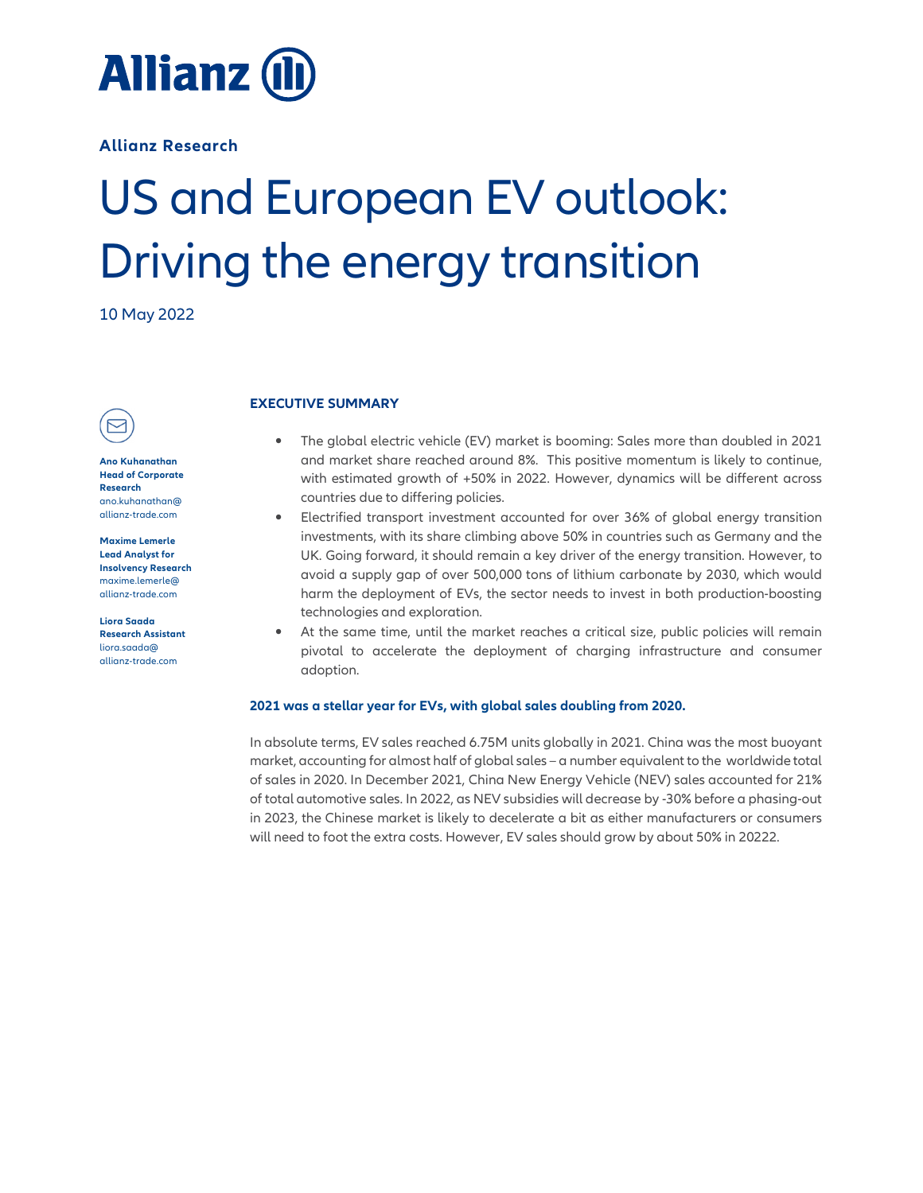

**Allianz Research** 

# US and European EV outlook: Driving the energy transition

10 May 2022



**Ano Kuhanathan Head of Corporate Research**  ano.kuhanathan@ allianz-trade.com

**Maxime Lemerle Lead Analyst for Insolvency Research**  maxime.lemerle@ allianz-trade.com

**Liora Saada Research Assistant**  liora.saada@ allianz-trade.com

# **EXECUTIVE SUMMARY**

- The global electric vehicle (EV) market is booming: Sales more than doubled in 2021 and market share reached around 8%. This positive momentum is likely to continue, with estimated growth of +50% in 2022. However, dynamics will be different across countries due to differing policies.
- Electrified transport investment accounted for over 36% of global energy transition investments, with its share climbing above 50% in countries such as Germany and the UK. Going forward, it should remain a key driver of the energy transition. However, to avoid a supply gap of over 500,000 tons of lithium carbonate by 2030, which would harm the deployment of EVs, the sector needs to invest in both production-boosting technologies and exploration.
- At the same time, until the market reaches a critical size, public policies will remain pivotal to accelerate the deployment of charging infrastructure and consumer adoption.

# **2021 was a stellar year for EVs, with global sales doubling from 2020.**

In absolute terms, EV sales reached 6.75M units globally in 2021. China was the most buoyant market, accounting for almost half of global sales – a number equivalent to the worldwide total of sales in 2020. In December 2021, China New Energy Vehicle (NEV) sales accounted for 21% of total automotive sales. In 2022, as NEV subsidies will decrease by -30% before a phasing-out in 2023, the Chinese market is likely to decelerate a bit as either manufacturers or consumers will need to foot the extra costs. However, EV sales should grow by about 50% in 20222.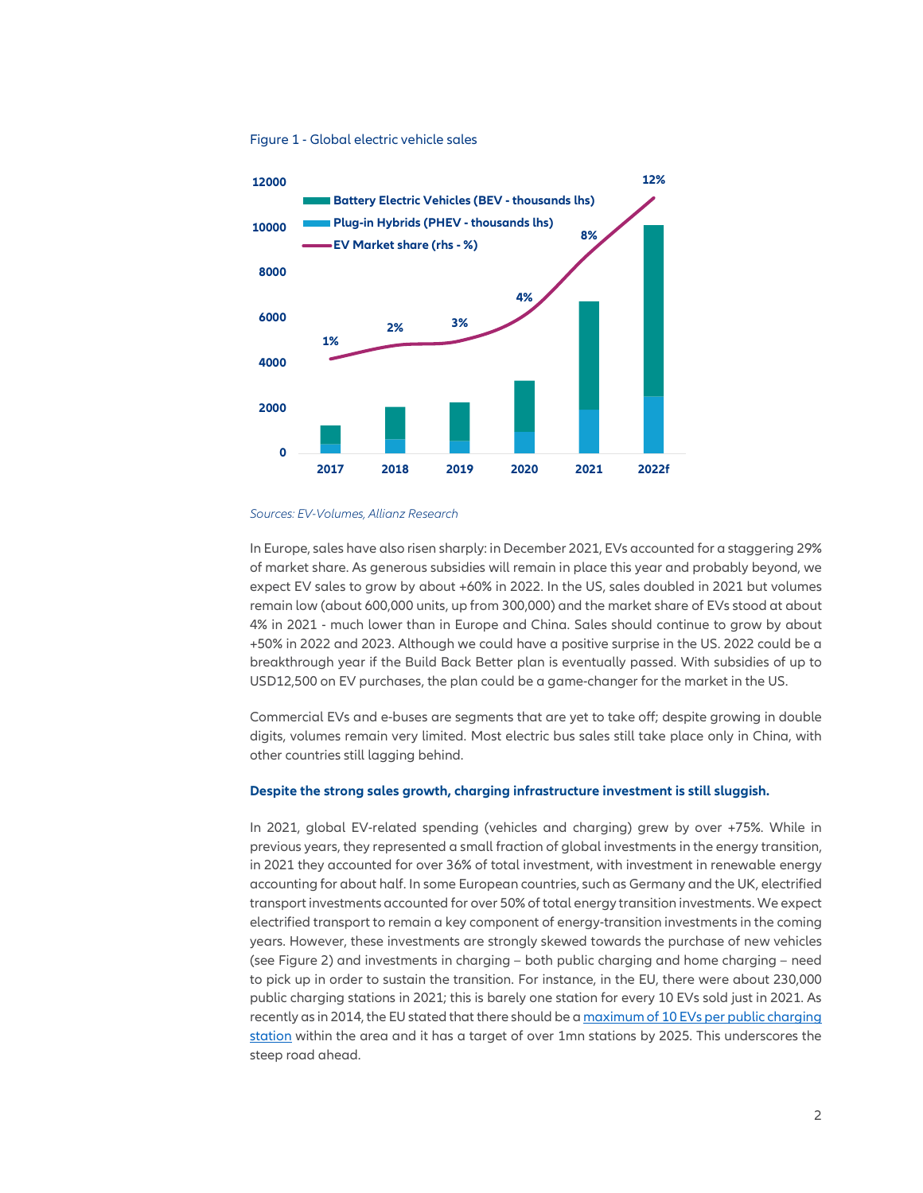#### Figure 1 - Global electric vehicle sales



#### *Sources: EV-Volumes, Allianz Research*

In Europe, sales have also risen sharply: in December 2021, EVs accounted for a staggering 29% of market share. As generous subsidies will remain in place this year and probably beyond, we expect EV sales to grow by about +60% in 2022. In the US, sales doubled in 2021 but volumes remain low (about 600,000 units, up from 300,000) and the market share of EVs stood at about 4% in 2021 - much lower than in Europe and China. Sales should continue to grow by about +50% in 2022 and 2023. Although we could have a positive surprise in the US. 2022 could be a breakthrough year if the Build Back Better plan is eventually passed. With subsidies of up to USD12,500 on EV purchases, the plan could be a game-changer for the market in the US.

Commercial EVs and e-buses are segments that are yet to take off; despite growing in double digits, volumes remain very limited. Most electric bus sales still take place only in China, with other countries still lagging behind.

#### **Despite the strong sales growth, charging infrastructure investment is still sluggish.**

In 2021, global EV-related spending (vehicles and charging) grew by over +75%. While in previous years, they represented a small fraction of global investments in the energy transition, in 2021 they accounted for over 36% of total investment, with investment in renewable energy accounting for about half. In some European countries, such as Germany and the UK, electrified transport investments accounted for over 50% of total energy transition investments. We expect electrified transport to remain a key component of energy-transition investments in the coming years. However, these investments are strongly skewed towards the purchase of new vehicles (see Figure 2) and investments in charging – both public charging and home charging – need to pick up in order to sustain the transition. For instance, in the EU, there were about 230,000 public charging stations in 2021; this is barely one station for every 10 EVs sold just in 2021. As recently as in 2014, the EU stated that there should be a maximum of 10 EVs per public charging station within the area and it has a target of over 1mn stations by 2025. This underscores the steep road ahead.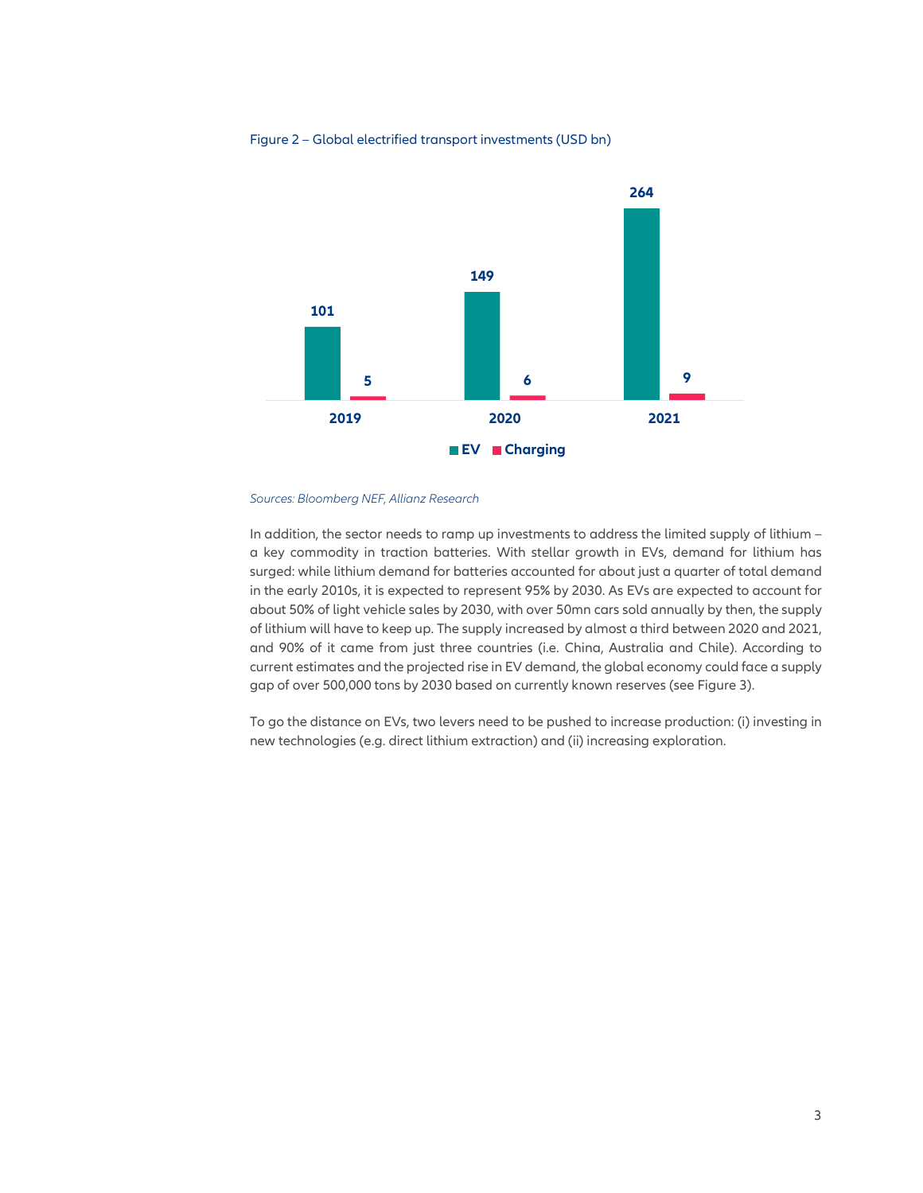## Figure 2 – Global electrified transport investments (USD bn)



#### *Sources: Bloomberg NEF, Allianz Research*

In addition, the sector needs to ramp up investments to address the limited supply of lithium – a key commodity in traction batteries. With stellar growth in EVs, demand for lithium has surged: while lithium demand for batteries accounted for about just a quarter of total demand in the early 2010s, it is expected to represent 95% by 2030. As EVs are expected to account for about 50% of light vehicle sales by 2030, with over 50mn cars sold annually by then, the supply of lithium will have to keep up. The supply increased by almost a third between 2020 and 2021, and 90% of it came from just three countries (i.e. China, Australia and Chile). According to current estimates and the projected rise in EV demand, the global economy could face a supply gap of over 500,000 tons by 2030 based on currently known reserves (see Figure 3).

To go the distance on EVs, two levers need to be pushed to increase production: (i) investing in new technologies (e.g. direct lithium extraction) and (ii) increasing exploration.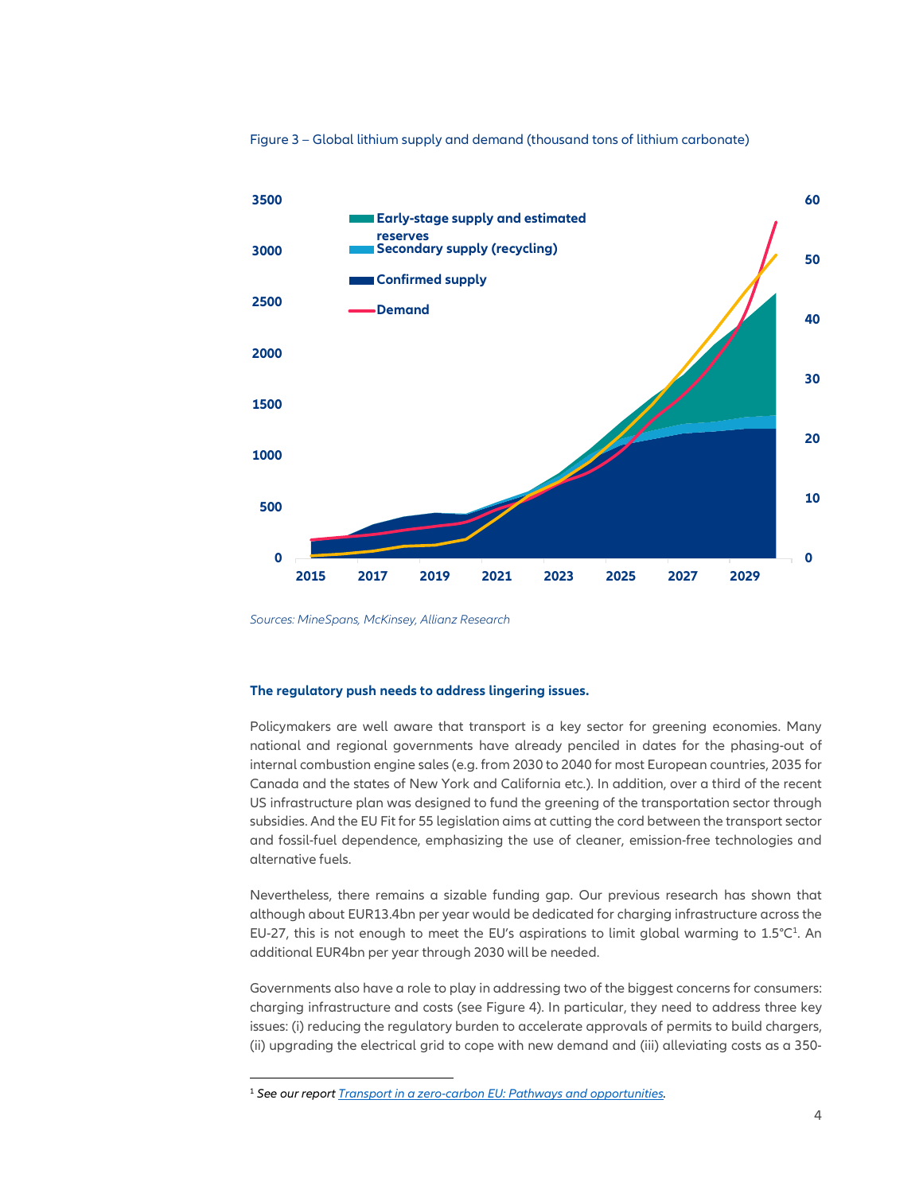



*Sources: MineSpans, McKinsey, Allianz Research*

#### **The regulatory push needs to address lingering issues.**

Policymakers are well aware that transport is a key sector for greening economies. Many national and regional governments have already penciled in dates for the phasing-out of internal combustion engine sales (e.g. from 2030 to 2040 for most European countries, 2035 for Canada and the states of New York and California etc.). In addition, over a third of the recent US infrastructure plan was designed to fund the greening of the transportation sector through subsidies. And the EU Fit for 55 legislation aims at cutting the cord between the transport sector and fossil-fuel dependence, emphasizing the use of cleaner, emission-free technologies and alternative fuels.

Nevertheless, there remains a sizable funding gap. Our previous research has shown that although about EUR13.4bn per year would be dedicated for charging infrastructure across the EU-27, this is not enough to meet the EU's aspirations to limit global warming to  $1.5^{\circ}C^{1}$ . An additional EUR4bn per year through 2030 will be needed.

Governments also have a role to play in addressing two of the biggest concerns for consumers: charging infrastructure and costs (see Figure 4). In particular, they need to address three key issues: (i) reducing the regulatory burden to accelerate approvals of permits to build chargers, (ii) upgrading the electrical grid to cope with new demand and (iii) alleviating costs as a 350-

<sup>1</sup> *See our report Transport in a zero-carbon EU: Pathways and opportunities.*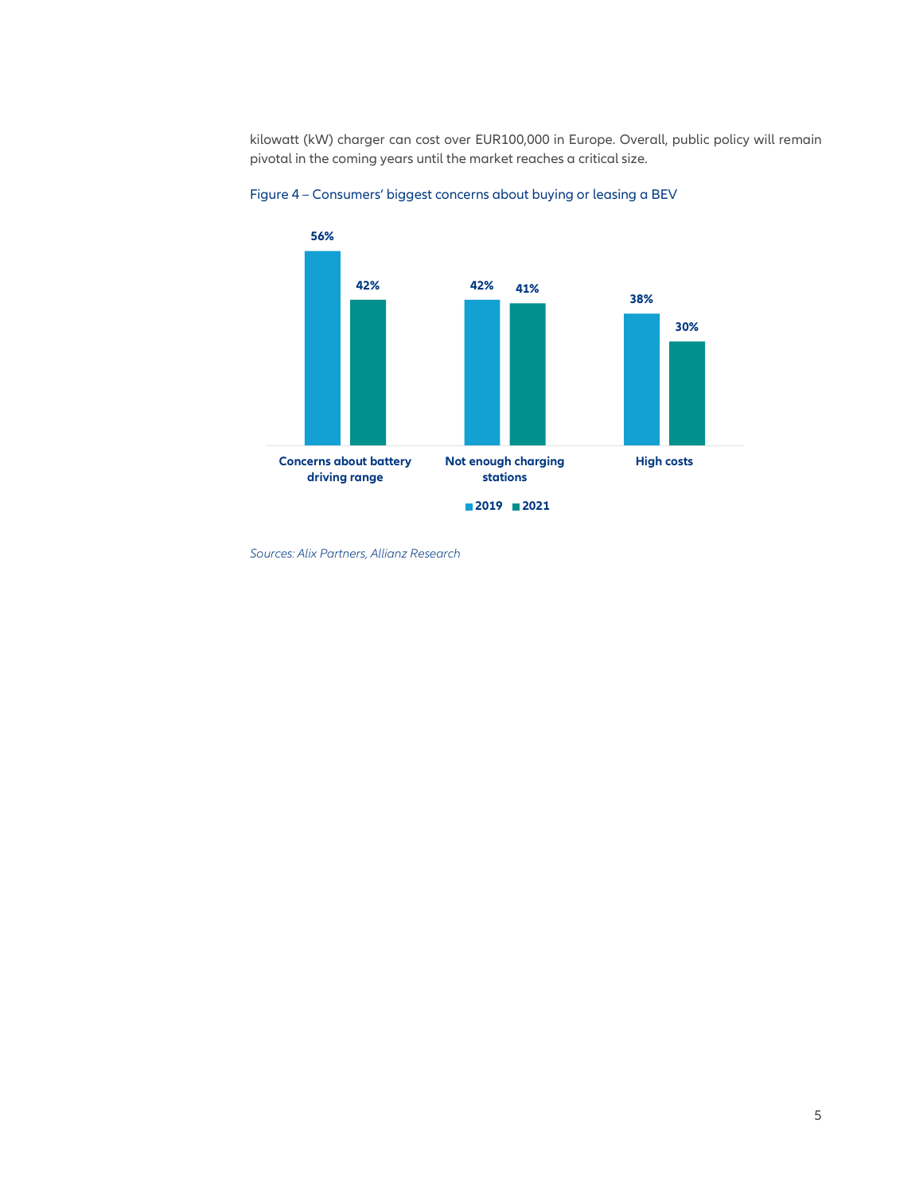kilowatt (kW) charger can cost over EUR100,000 in Europe. Overall, public policy will remain pivotal in the coming years until the market reaches a critical size.





*Sources: Alix Partners, Allianz Research*